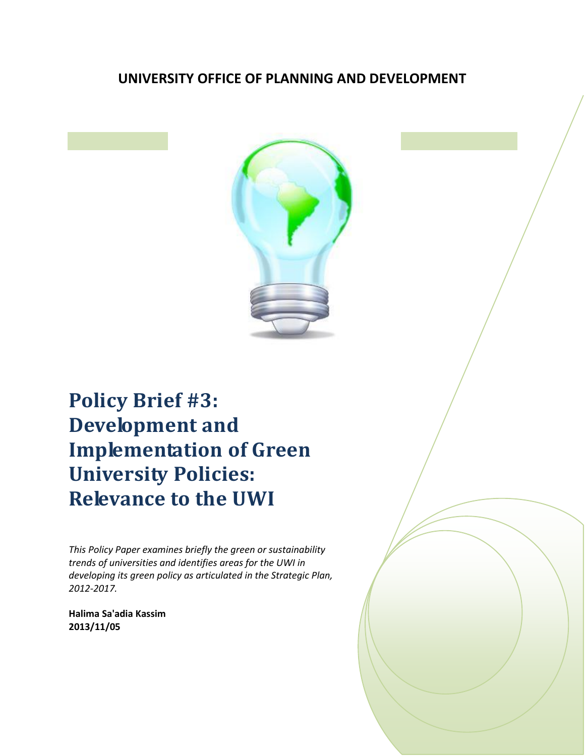# **UNIVERSITY OFFICE OF PLANNING AND DEVELOPMENT**



# **Policy Brief #3: Development and Implementation of Green University Policies: Relevance to the UWI**

*This Policy Paper examines briefly the green or sustainability trends of universities and identifies areas for the UWI in developing its green policy as articulated in the Strategic Plan, 2012-2017.*

**Halima Sa'adia Kassim 2013/11/05**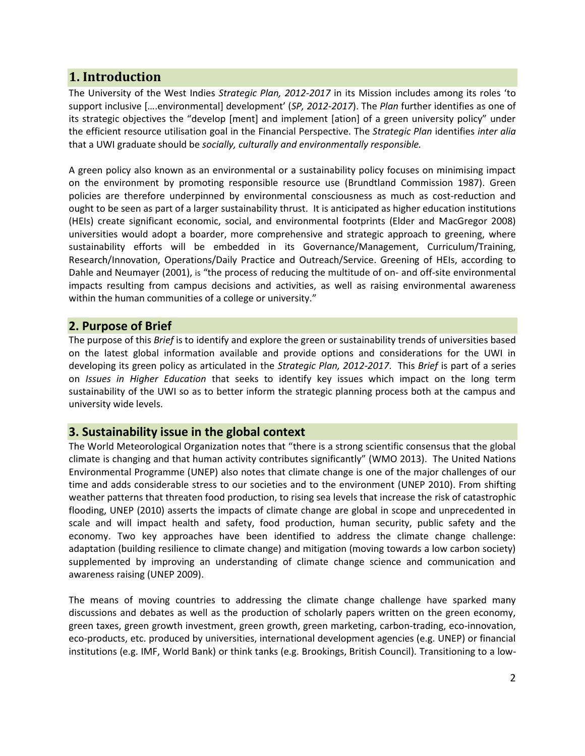## **1. Introduction**

The University of the West Indies *Strategic Plan, 2012-2017* in its Mission includes among its roles 'to support inclusive [….environmental] development' (*SP, 2012-2017*). The *Plan* further identifies as one of its strategic objectives the "develop [ment] and implement [ation] of a green university policy" under the efficient resource utilisation goal in the Financial Perspective. The *Strategic Plan* identifies *inter alia* that a UWI graduate should be *socially, culturally and environmentally responsible.* 

A green policy also known as an environmental or a sustainability policy focuses on minimising impact on the environment by promoting responsible resource use (Brundtland Commission 1987). Green policies are therefore underpinned by environmental consciousness as much as cost-reduction and ought to be seen as part of a larger sustainability thrust. It is anticipated as higher education institutions (HEIs) create significant economic, social, and environmental footprints (Elder and MacGregor 2008) universities would adopt a boarder, more comprehensive and strategic approach to greening, where sustainability efforts will be embedded in its Governance/Management, Curriculum/Training, Research/Innovation, Operations/Daily Practice and Outreach/Service. Greening of HEIs, according to Dahle and Neumayer (2001), is "the process of reducing the multitude of on- and off-site environmental impacts resulting from campus decisions and activities, as well as raising environmental awareness within the human communities of a college or university."

## **2. Purpose of Brief**

The purpose of this *Brief* is to identify and explore the green or sustainability trends of universities based on the latest global information available and provide options and considerations for the UWI in developing its green policy as articulated in the *Strategic Plan, 2012-2017*. This *Brief* is part of a series on *Issues in Higher Education* that seeks to identify key issues which impact on the long term sustainability of the UWI so as to better inform the strategic planning process both at the campus and university wide levels.

#### **3. Sustainability issue in the global context**

The World Meteorological Organization notes that "there is a strong scientific consensus that the global climate is changing and that human activity contributes significantly" (WMO 2013). The United Nations Environmental Programme (UNEP) also notes that climate change is one of the major challenges of our time and adds considerable stress to our societies and to the environment (UNEP 2010). From shifting weather patterns that threaten food production, to rising sea levels that increase the risk of catastrophic flooding, UNEP (2010) asserts the impacts of climate change are global in scope and unprecedented in scale and will impact health and safety, food production, human security, public safety and the economy. Two key approaches have been identified to address the climate change challenge: adaptation (building resilience to climate change) and mitigation (moving towards a low carbon society) supplemented by improving an understanding of climate change science and communication and awareness raising (UNEP 2009).

The means of moving countries to addressing the climate change challenge have sparked many discussions and debates as well as the production of scholarly papers written on the green economy, green taxes, green growth investment, green growth, green marketing, carbon-trading, eco-innovation, eco-products, etc. produced by universities, international development agencies (e.g. UNEP) or financial institutions (e.g. IMF, World Bank) or think tanks (e.g. Brookings, British Council). Transitioning to a low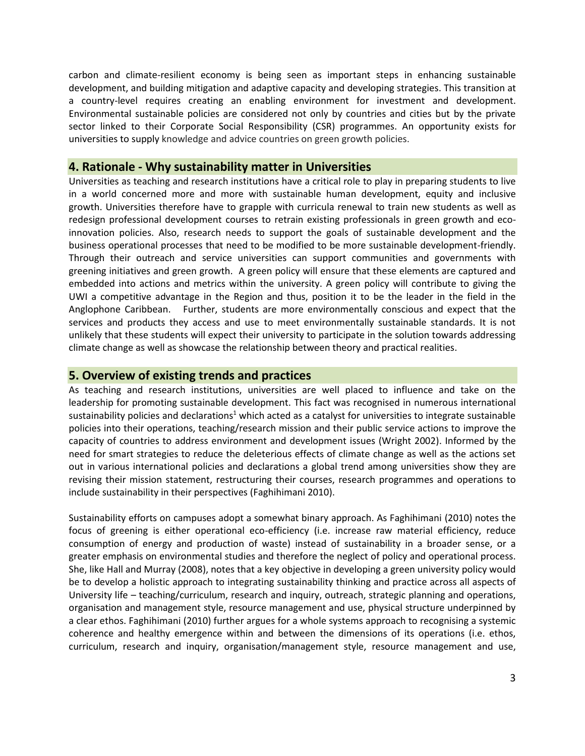carbon and climate-resilient economy is being seen as important steps in enhancing sustainable development, and building mitigation and adaptive capacity and developing strategies. This transition at a country-level requires creating an enabling environment for investment and development. Environmental sustainable policies are considered not only by countries and cities but by the private sector linked to their Corporate Social Responsibility (CSR) programmes. An opportunity exists for universities to supply knowledge and advice countries on green growth policies.

#### **4. Rationale - Why sustainability matter in Universities**

Universities as teaching and research institutions have a critical role to play in preparing students to live in a world concerned more and more with sustainable human development, equity and inclusive growth. Universities therefore have to grapple with curricula renewal to train new students as well as redesign professional development courses to retrain existing professionals in green growth and ecoinnovation policies. Also, research needs to support the goals of sustainable development and the business operational processes that need to be modified to be more sustainable development-friendly. Through their outreach and service universities can support communities and governments with greening initiatives and green growth. A green policy will ensure that these elements are captured and embedded into actions and metrics within the university. A green policy will contribute to giving the UWI a competitive advantage in the Region and thus, position it to be the leader in the field in the Anglophone Caribbean. Further, students are more environmentally conscious and expect that the services and products they access and use to meet environmentally sustainable standards. It is not unlikely that these students will expect their university to participate in the solution towards addressing climate change as well as showcase the relationship between theory and practical realities.

#### **5. Overview of existing trends and practices**

As teaching and research institutions, universities are well placed to influence and take on the leadership for promoting sustainable development. This fact was recognised in numerous international sustainability policies and declarations<sup>1</sup> which acted as a catalyst for universities to integrate sustainable policies into their operations, teaching/research mission and their public service actions to improve the capacity of countries to address environment and development issues (Wright 2002). Informed by the need for smart strategies to reduce the deleterious effects of climate change as well as the actions set out in various international policies and declarations a global trend among universities show they are revising their mission statement, restructuring their courses, research programmes and operations to include sustainability in their perspectives (Faghihimani 2010).

Sustainability efforts on campuses adopt a somewhat binary approach. As Faghihimani (2010) notes the focus of greening is either operational eco-efficiency (i.e. increase raw material efficiency, reduce consumption of energy and production of waste) instead of sustainability in a broader sense, or a greater emphasis on environmental studies and therefore the neglect of policy and operational process. She, like Hall and Murray (2008), notes that a key objective in developing a green university policy would be to develop a holistic approach to integrating sustainability thinking and practice across all aspects of University life – teaching/curriculum, research and inquiry, outreach, strategic planning and operations, organisation and management style, resource management and use, physical structure underpinned by a clear ethos. Faghihimani (2010) further argues for a whole systems approach to recognising a systemic coherence and healthy emergence within and between the dimensions of its operations (i.e. ethos, curriculum, research and inquiry, organisation/management style, resource management and use,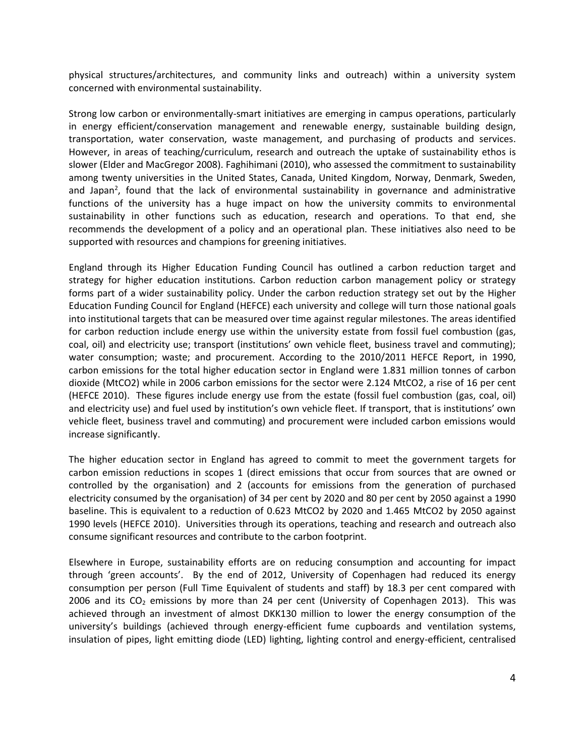physical structures/architectures, and community links and outreach) within a university system concerned with environmental sustainability.

Strong low carbon or environmentally-smart initiatives are emerging in campus operations, particularly in energy efficient/conservation management and renewable energy, sustainable building design, transportation, water conservation, waste management, and purchasing of products and services. However, in areas of teaching/curriculum, research and outreach the uptake of sustainability ethos is slower (Elder and MacGregor 2008). Faghihimani (2010), who assessed the commitment to sustainability among twenty universities in the United States, Canada, United Kingdom, Norway, Denmark, Sweden, and Japan<sup>2</sup>, found that the lack of environmental sustainability in governance and administrative functions of the university has a huge impact on how the university commits to environmental sustainability in other functions such as education, research and operations. To that end, she recommends the development of a policy and an operational plan. These initiatives also need to be supported with resources and champions for greening initiatives.

England through its Higher Education Funding Council has outlined a carbon reduction target and strategy for higher education institutions. Carbon reduction carbon management policy or strategy forms part of a wider sustainability policy. Under the carbon reduction strategy set out by the Higher Education Funding Council for England (HEFCE) each university and college will turn those national goals into institutional targets that can be measured over time against regular milestones. The areas identified for carbon reduction include energy use within the university estate from fossil fuel combustion (gas, coal, oil) and electricity use; transport (institutions' own vehicle fleet, business travel and commuting); water consumption; waste; and procurement. According to the 2010/2011 HEFCE Report, in 1990, carbon emissions for the total higher education sector in England were 1.831 million tonnes of carbon dioxide (MtCO2) while in 2006 carbon emissions for the sector were 2.124 MtCO2, a rise of 16 per cent (HEFCE 2010). These figures include energy use from the estate (fossil fuel combustion (gas, coal, oil) and electricity use) and fuel used by institution's own vehicle fleet. If transport, that is institutions' own vehicle fleet, business travel and commuting) and procurement were included carbon emissions would increase significantly.

The higher education sector in England has agreed to commit to meet the government targets for carbon emission reductions in scopes 1 (direct emissions that occur from sources that are owned or controlled by the organisation) and 2 (accounts for emissions from the generation of purchased electricity consumed by the organisation) of 34 per cent by 2020 and 80 per cent by 2050 against a 1990 baseline. This is equivalent to a reduction of 0.623 MtCO2 by 2020 and 1.465 MtCO2 by 2050 against 1990 levels (HEFCE 2010). Universities through its operations, teaching and research and outreach also consume significant resources and contribute to the carbon footprint.

Elsewhere in Europe, sustainability efforts are on reducing consumption and accounting for impact through 'green accounts'. By the end of 2012, University of Copenhagen had reduced its energy consumption per person (Full Time Equivalent of students and staff) by 18.3 per cent compared with 2006 and its  $CO<sub>2</sub>$  emissions by more than 24 per cent (University of Copenhagen 2013). This was achieved through an investment of almost DKK130 million to lower the energy consumption of the university's buildings (achieved through energy-efficient fume cupboards and ventilation systems, insulation of pipes, light emitting diode (LED) lighting, lighting control and energy-efficient, centralised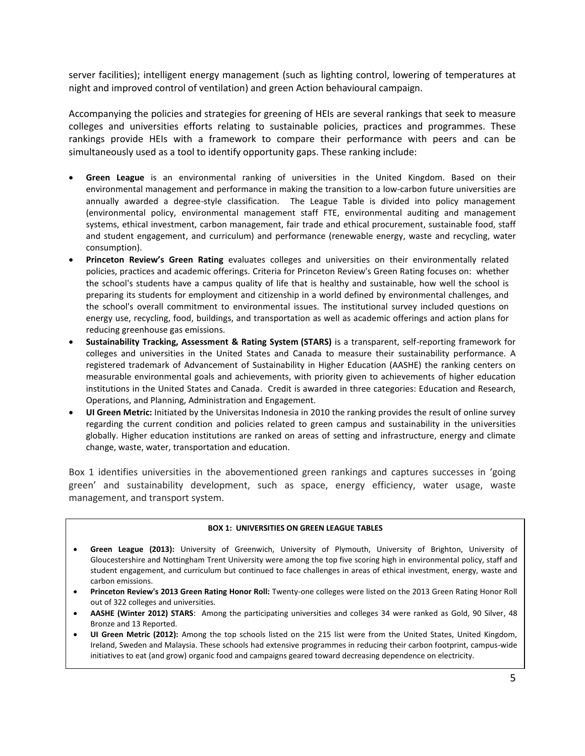server facilities); intelligent energy management (such as lighting control, lowering of temperatures at night and improved control of ventilation) and green Action behavioural campaign.

Accompanying the policies and strategies for greening of HEIs are several rankings that seek to measure colleges and universities efforts relating to sustainable policies, practices and programmes. These rankings provide HEIs with a framework to compare their performance with peers and can be simultaneously used as a tool to identify opportunity gaps. These ranking include:

- **Green League** is an environmental ranking of universities in the United Kingdom. Based on their environmental management and performance in making the transition to a low-carbon future universities are annually awarded a degree-style classification. The League Table is divided into policy management (environmental policy, [environmental management staff FTE,](http://peopleandplanet.org/greenleague/methodology/management-staff) [environmental auditing and management](http://peopleandplanet.org/greenleague/methodology/auditing)  [systems,](http://peopleandplanet.org/greenleague/methodology/auditing) ethical investment, carbon management, [fair trade and ethical procurement,](http://peopleandplanet.org/greenleague/methodology/fairtrade) [sustainable food,](http://peopleandplanet.org/greenleague/methodology/sustainable-food) [staff](http://peopleandplanet.org/greenleague/methodology/engagement)  [and student engagement,](http://peopleandplanet.org/greenleague/methodology/engagement) and [curriculum\)](http://peopleandplanet.org/greenleague/methodology/curriculum) and performance [\(renewable energy,](http://peopleandplanet.org/greenleague/methodology/energy-sources) [waste and recycling,](http://peopleandplanet.org/greenleague/methodology/waste) [water](http://peopleandplanet.org/greenleague/methodology/water-reduction)  [consumption\)](http://peopleandplanet.org/greenleague/methodology/water-reduction).
- **Princeton Review's Green Rating** evaluates colleges and universities on their environmentally related policies, practices and academic offerings. Criteria for Princeton Review's Green Rating focuses on: whether the school's students have a campus quality of life that is healthy and sustainable, how well the school is preparing its students for employment and citizenship in a world defined by environmental challenges, and the school's overall commitment to environmental issues. The institutional survey included questions on energy use, recycling, food, buildings, and transportation as well as academic offerings and action plans for reducing greenhouse gas emissions.
- **Sustainability Tracking, Assessment & Rating System (STARS)** is a transparent, self-reporting framework for colleges and universities in the United States and Canada to measure their sustainability performance. A registered trademark of Advancement of Sustainability in Higher Education (AASHE) the ranking centers on measurable environmental goals and achievements, with priority given to achievements of higher education institutions in the United States and Canada. Credit is awarded in three categories: Education and Research, Operations, and Planning, Administration and Engagement.
- **UI Green Metric:** Initiated by the Universitas Indonesia in 2010 the ranking provides the result of online survey regarding the current condition and policies related to green campus and sustainability in the universities globally. Higher education institutions are ranked on areas of [setting and infrastructure, energy and climate](http://greenmetric.ui.ac.id/id/page/ranking-2012)  [change, waste, water, transportation and education.](http://greenmetric.ui.ac.id/id/page/ranking-2012)

Box 1 identifies universities in the abovementioned green rankings and captures successes in 'going green' and sustainability development, such as space, energy efficiency, water usage, waste management, and transport system.

#### **BOX 1: UNIVERSITIES ON GREEN LEAGUE TABLES**

- **Green League (2013):** University of Greenwich, University of Plymouth, University of Brighton, University of Gloucestershire and Nottingham Trent University were among the top five scoring high in environmental policy[, staff and](http://peopleandplanet.org/greenleague/methodology/engagement)  [student engagement,](http://peopleandplanet.org/greenleague/methodology/engagement) and [curriculum](http://peopleandplanet.org/greenleague/methodology/curriculum) but continued to face challenges in areas of ethical investment, energy, waste and carbon emissions.
- **Princeton Review's 2013 Green Rating Honor Roll:** Twenty-one colleges were listed on the 2013 Green Rating Honor Roll out of 322 colleges and universities.
- **AASHE (Winter 2012) STARS**: Among the participating universities and colleges 34 were ranked as Gold, 90 Silver, 48 Bronze and 13 Reported.
- **UI Green Metric (2012):** Among the top schools listed on the 215 list were from the United States, United Kingdom, Ireland, Sweden and Malaysia. These schools had extensive programmes in reducing their carbon footprint, campus-wide initiatives to eat (and grow) organic food and campaigns geared toward decreasing dependence on electricity.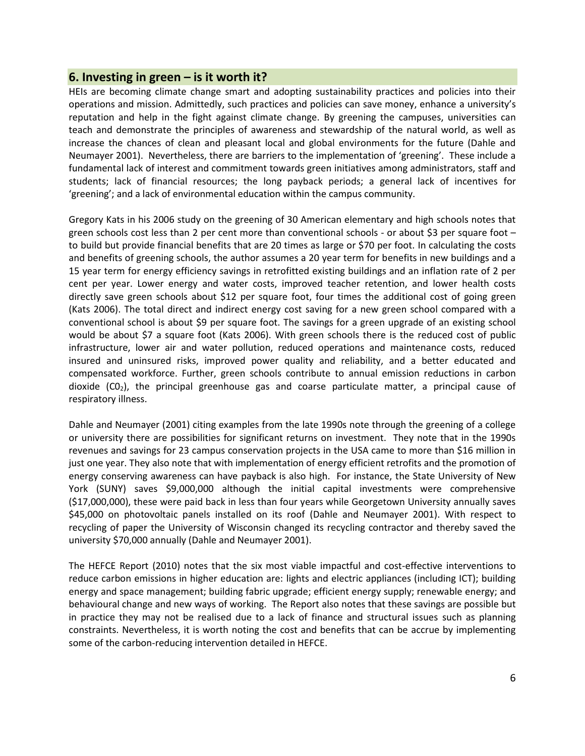#### **6. Investing in green – is it worth it?**

HEIs are becoming climate change smart and adopting sustainability practices and policies into their operations and mission. Admittedly, such practices and policies can save money, enhance a university's reputation and help in the fight against climate change. By greening the campuses, universities can teach and demonstrate the principles of awareness and stewardship of the natural world, as well as increase the chances of clean and pleasant local and global environments for the future (Dahle and Neumayer 2001). Nevertheless, there are barriers to the implementation of 'greening'. These include a fundamental lack of interest and commitment towards green initiatives among administrators, staff and students; lack of financial resources; the long payback periods; a general lack of incentives for 'greening'; and a lack of environmental education within the campus community.

Gregory Kats in his 2006 study on the greening of 30 American elementary and high schools notes that green schools cost less than 2 per cent more than conventional schools - or about \$3 per square foot – to build but provide financial benefits that are 20 times as large or \$70 per foot. In calculating the costs and benefits of greening schools, the author assumes a 20 year term for benefits in new buildings and a 15 year term for energy efficiency savings in retrofitted existing buildings and an inflation rate of 2 per cent per year. Lower energy and water costs, improved teacher retention, and lower health costs directly save green schools about \$12 per square foot, four times the additional cost of going green (Kats 2006). The total direct and indirect energy cost saving for a new green school compared with a conventional school is about \$9 per square foot. The savings for a green upgrade of an existing school would be about \$7 a square foot (Kats 2006). With green schools there is the reduced cost of public infrastructure, lower air and water pollution, reduced operations and maintenance costs, reduced insured and uninsured risks, improved power quality and reliability, and a better educated and compensated workforce. Further, green schools contribute to annual emission reductions in carbon dioxide  $(CO<sub>2</sub>)$ , the principal greenhouse gas and coarse particulate matter, a principal cause of respiratory illness.

Dahle and Neumayer (2001) citing examples from the late 1990s note through the greening of a college or university there are possibilities for significant returns on investment. They note that in the 1990s revenues and savings for 23 campus conservation projects in the USA came to more than \$16 million in just one year. They also note that with implementation of energy efficient retrofits and the promotion of energy conserving awareness can have payback is also high. For instance, the State University of New York (SUNY) saves \$9,000,000 although the initial capital investments were comprehensive (\$17,000,000), these were paid back in less than four years while Georgetown University annually saves \$45,000 on photovoltaic panels installed on its roof (Dahle and Neumayer 2001). With respect to recycling of paper the University of Wisconsin changed its recycling contractor and thereby saved the university \$70,000 annually (Dahle and Neumayer 2001).

The HEFCE Report (2010) notes that the six most viable impactful and cost-effective interventions to reduce carbon emissions in higher education are: lights and electric appliances (including ICT); building energy and space management; building fabric upgrade; efficient energy supply; renewable energy; and behavioural change and new ways of working. The Report also notes that these savings are possible but in practice they may not be realised due to a lack of finance and structural issues such as planning constraints. Nevertheless, it is worth noting the cost and benefits that can be accrue by implementing some of the carbon-reducing intervention detailed in HEFCE.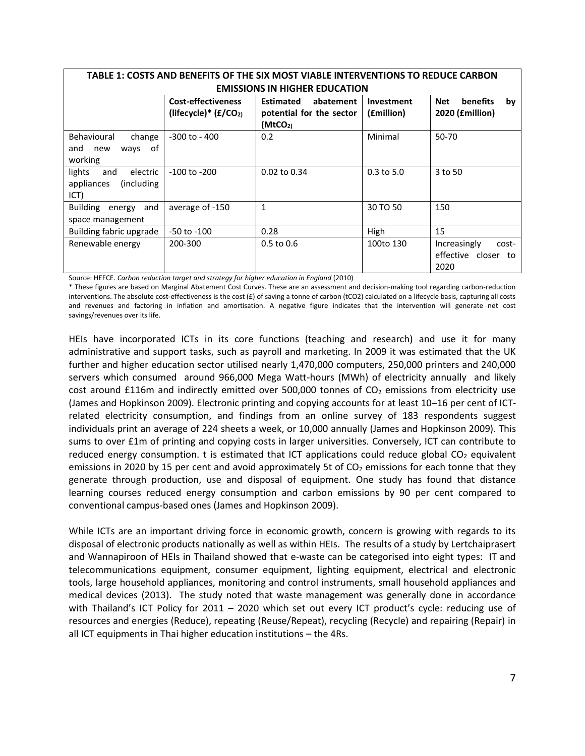| TABLE 1: COSTS AND BENEFITS OF THE SIX MOST VIABLE INTERVENTIONS TO REDUCE CARBON |                                                     |                                                           |                          |                                                          |  |
|-----------------------------------------------------------------------------------|-----------------------------------------------------|-----------------------------------------------------------|--------------------------|----------------------------------------------------------|--|
| <b>EMISSIONS IN HIGHER EDUCATION</b>                                              |                                                     |                                                           |                          |                                                          |  |
|                                                                                   | <b>Cost-effectiveness</b><br>(lifecycle)* $(E/CO2)$ | <b>Estimated</b><br>abatement<br>potential for the sector | Investment<br>(£million) | <b>benefits</b><br>Net<br>by<br>2020 ( <i>fmillion</i> ) |  |
|                                                                                   |                                                     | (MtCO <sub>2</sub> )                                      |                          |                                                          |  |
| Behavioural<br>change<br>of<br>and<br>new<br>ways<br>working                      | -300 to - 400                                       | 0.2                                                       | Minimal                  | $50 - 70$                                                |  |
| lights<br>electric<br>and<br>appliances<br>(including)<br>ICT)                    | $-100$ to $-200$                                    | 0.02 to 0.34                                              | $0.3$ to 5.0             | 3 to 50                                                  |  |
| Building energy<br>and<br>space management                                        | average of -150                                     | $\mathbf{1}$                                              | 30 TO 50                 | 150                                                      |  |
| Building fabric upgrade                                                           | $-50$ to $-100$                                     | 0.28                                                      | High                     | 15                                                       |  |
| Renewable energy                                                                  | 200-300                                             | $0.5$ to $0.6$                                            | 100to 130                | Increasingly<br>cost-<br>effective closer<br>to<br>2020  |  |

Source: HEFCE. *Carbon reduction target and strategy for higher education in England* (2010)

\* These figures are based on Marginal Abatement Cost Curves. These are an assessment and decision-making tool regarding carbon-reduction interventions. The absolute cost-effectiveness is the cost  $(E)$  of saving a tonne of carbon (tCO2) calculated on a lifecycle basis, capturing all costs and revenues and factoring in inflation and amortisation. A negative figure indicates that the intervention will generate net cost savings/revenues over its life.

HEIs have incorporated ICTs in its core functions (teaching and research) and use it for many administrative and support tasks, such as payroll and marketing. In 2009 it was estimated that the UK further and higher education sector utilised nearly 1,470,000 computers, 250,000 printers and 240,000 servers which consumed around 966,000 Mega Watt-hours (MWh) of electricity annually and likely cost around £116m and indirectly emitted over 500,000 tonnes of  $CO<sub>2</sub>$  emissions from electricity use (James and Hopkinson 2009). Electronic printing and copying accounts for at least 10–16 per cent of ICTrelated electricity consumption, and findings from an online survey of 183 respondents suggest individuals print an average of 224 sheets a week, or 10,000 annually (James and Hopkinson 2009). This sums to over £1m of printing and copying costs in larger universities. Conversely, ICT can contribute to reduced energy consumption. t is estimated that ICT applications could reduce global  $CO<sub>2</sub>$  equivalent emissions in 2020 by 15 per cent and avoid approximately 5t of  $CO<sub>2</sub>$  emissions for each tonne that they generate through production, use and disposal of equipment. One study has found that distance learning courses reduced energy consumption and carbon emissions by 90 per cent compared to conventional campus-based ones (James and Hopkinson 2009).

While ICTs are an important driving force in economic growth, concern is growing with regards to its disposal of electronic products nationally as well as within HEIs. The results of a study by Lertchaiprasert and Wannapiroon of HEIs in Thailand showed that e-waste can be categorised into eight types: IT and telecommunications equipment, consumer equipment, lighting equipment, electrical and electronic tools, large household appliances, monitoring and control instruments, small household appliances and medical devices (2013). The study noted that waste management was generally done in accordance with Thailand's ICT Policy for 2011 – 2020 which set out every ICT product's cycle: reducing use of resources and energies (Reduce), repeating (Reuse/Repeat), recycling (Recycle) and repairing (Repair) in all ICT equipments in Thai higher education institutions – the 4Rs.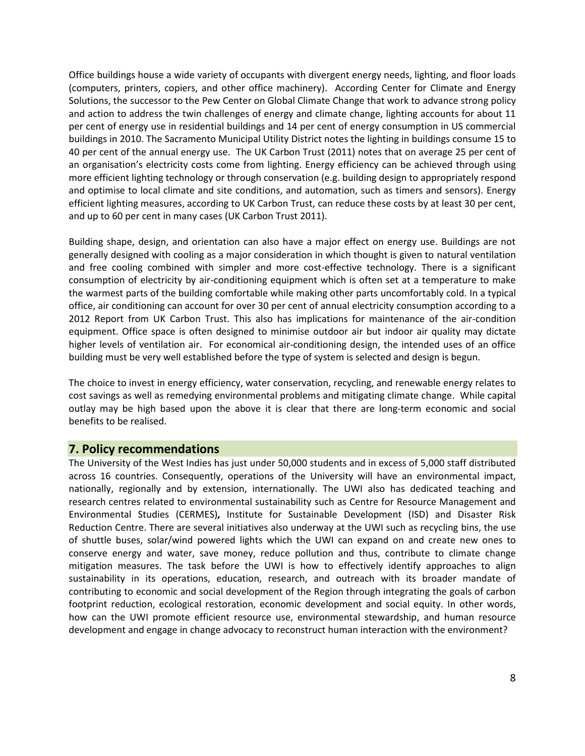Office buildings house a wide variety of occupants with divergent energy needs, lighting, and floor loads (computers, printers, copiers, and other office machinery). According Center for Climate and Energy Solutions, the successor to the Pew Center on Global Climate Change that work to advance strong policy and action to address the twin challenges of energy and climate change, lighting accounts for about 11 per cent of energy use in residential buildings and 14 per cent of energy consumption in US commercial buildings in 2010. The Sacramento Municipal Utility District notes the lighting in buildings consume 15 to 40 per cent of the annual energy use. The UK Carbon Trust (2011) notes that on average 25 per cent of an organisation's electricity costs come from lighting. Energy efficiency can be achieved through using more efficient lighting technology or through conservation (e.g. building design to appropriately respond and optimise to local climate and site conditions, and automation, such as timers and sensors). Energy efficient lighting measures, according to UK Carbon Trust, can reduce these costs by at least 30 per cent, and up to 60 per cent in many cases (UK Carbon Trust 2011).

Building shape, design, and orientation can also have a major effect on energy use. Buildings are not generally designed with cooling as a major consideration in which thought is given to natural ventilation and free cooling combined with simpler and more cost-effective technology. There is a significant consumption of electricity by air-conditioning equipment which is often set at a temperature to make the warmest parts of the building comfortable while making other parts uncomfortably cold. In a typical office, air conditioning can account for over 30 per cent of annual electricity consumption according to a 2012 Report from UK Carbon Trust. This also has implications for maintenance of the air-condition equipment. Office space is often designed to minimise outdoor air but indoor air quality may dictate higher levels of ventilation air. For economical air-conditioning design, the intended uses of an office building must be very well established before the type of system is selected and design is begun.

The choice to invest in energy efficiency, water conservation, recycling, and renewable energy relates to cost savings as well as remedying environmental problems and mitigating climate change. While capital outlay may be high based upon the above it is clear that there are long-term economic and social benefits to be realised.

#### **7. Policy recommendations**

The University of the West Indies has just under 50,000 students and in excess of 5,000 staff distributed across 16 countries. Consequently, operations of the University will have an environmental impact, nationally, regionally and by extension, internationally. The UWI also has dedicated teaching and research centres related to environmental sustainability such as Centre for Resource Management and Environmental Studies (CERMES)**,** Institute for Sustainable Development (ISD) and Disaster Risk Reduction Centre. There are several initiatives also underway at the UWI such as recycling bins, the use of shuttle buses, solar/wind powered lights which the UWI can expand on and create new ones to conserve energy and water, save money, reduce pollution and thus, contribute to climate change mitigation measures. The task before the UWI is how to effectively identify approaches to align sustainability in its operations, education, research, and outreach with its broader mandate of contributing to economic and social development of the Region through integrating the goals of carbon footprint reduction, ecological restoration, economic development and social equity. In other words, how can the UWI promote efficient resource use, environmental stewardship, and human resource development and engage in change advocacy to reconstruct human interaction with the environment?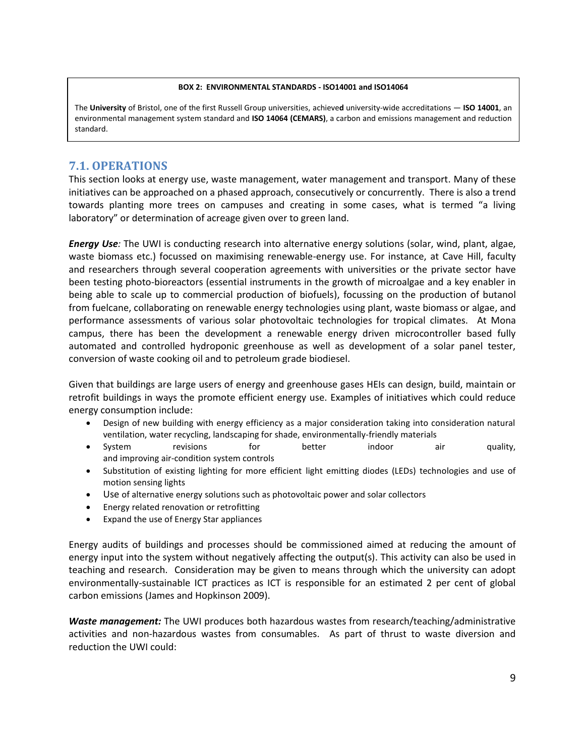#### **BOX 2: ENVIRONMENTAL STANDARDS - ISO14001 and ISO14064**

The University of Bristol, one of the first Russell Group universities, achieved university-wide accreditations - ISO 14001, an Environmental management system standard and **ISO 14064 (CEMARS)**, a carbon and emissions management and reduction standard.

#### **7.1. OPERATIONS**

This section looks at energy use, waste management, water management and transport. Many of these initiatives can be approached on a phased approach, consecutively or concurrently. There is also a trend towards planting more trees on campuses and creating in some cases, what is termed "a living laboratory" or determination of acreage given over to green land.

*Energy Use:* The UWI is conducting research into alternative energy solutions (solar, wind, plant, algae, waste biomass etc.) focussed on maximising renewable-energy use. For instance, at Cave Hill, faculty and researchers through several cooperation agreements with universities or the private sector have been testing photo-bioreactors (essential instruments in the growth of microalgae and a key enabler in being able to scale up to commercial production of biofuels), focussing on the production of butanol from fuelcane, collaborating on renewable energy technologies using plant, waste biomass or algae, and performance assessments of various solar photovoltaic technologies for tropical climates. At Mona campus, there has been the development a renewable energy driven microcontroller based fully automated and controlled hydroponic greenhouse as well as development of a solar panel tester, conversion of waste cooking oil and to petroleum grade biodiesel.

Given that buildings are large users of energy and greenhouse gases HEIs can design, build, maintain or retrofit buildings in ways the promote efficient energy use. Examples of initiatives which could reduce energy consumption include:

- Design of new building with energy efficiency as a major consideration taking into consideration natural ventilation, water recycling, landscaping for shade, environmentally-friendly materials
- System revisions for better indoor air quality, and improving air-condition system controls
- Substitution of existing lighting for more efficient light emitting diodes (LEDs) technologies and use of motion sensing lights
- Use of alternative energy solutions such as photovoltaic power and solar collectors
- Energy related renovation or retrofitting
- Expand the use of Energy Star appliances

Energy audits of buildings and processes should be commissioned aimed at reducing the amount of energy input into the system without negatively affecting the output(s). This activity can also be used in teaching and research. Consideration may be given to means through which the university can adopt environmentally-sustainable ICT practices as ICT is responsible for an estimated 2 per cent of global carbon emissions (James and Hopkinson 2009).

*Waste management:* The UWI produces both hazardous wastes from research/teaching/administrative activities and non-hazardous wastes from consumables. As part of thrust to waste diversion and reduction the UWI could: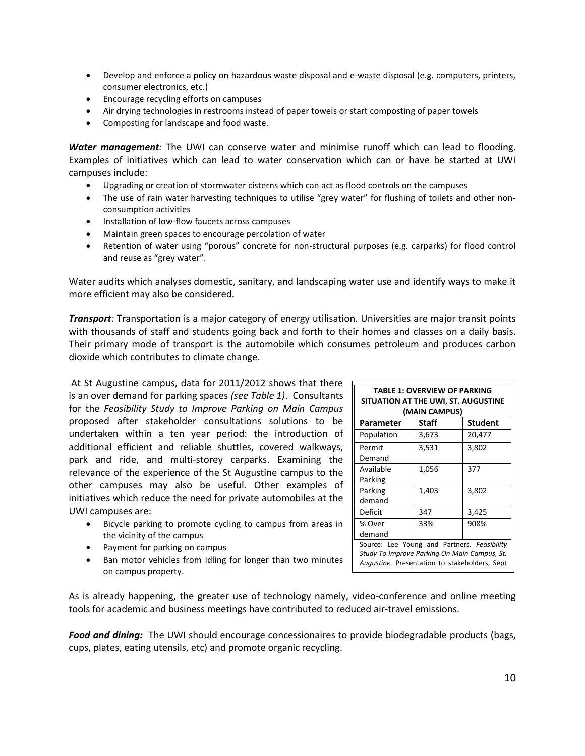- Develop and enforce a policy on hazardous waste disposal and e-waste disposal (e.g. computers, printers, consumer electronics, etc.)
- Encourage recycling efforts on campuses
- Air drying technologies in restrooms instead of paper towels or start composting of paper towels
- Composting for landscape and food waste.

*Water management:* The UWI can conserve water and minimise runoff which can lead to flooding. Examples of initiatives which can lead to water conservation which can or have be started at UWI campuses include:

- Upgrading or creation of stormwater cisterns which can act as flood controls on the campuses
- The use of rain water harvesting techniques to utilise "grey water" for flushing of toilets and other nonconsumption activities
- Installation of low-flow faucets across campuses
- Maintain green spaces to encourage percolation of water
- Retention of water using "porous" concrete for non-structural purposes (e.g. carparks) for flood control and reuse as "grey water".

Water audits which analyses domestic, sanitary, and landscaping water use and identify ways to make it more efficient may also be considered.

*Transport:* Transportation is a major category of energy utilisation. Universities are major transit points with thousands of staff and students going back and forth to their homes and classes on a daily basis. Their primary mode of transport is the automobile which consumes petroleum and produces carbon dioxide which contributes to climate change.

At St Augustine campus, data for 2011/2012 shows that there is an over demand for parking spaces *(see Table 1)*. Consultants for the *Feasibility Study to Improve Parking on Main Campus* proposed after stakeholder consultations solutions to be undertaken within a ten year period: the introduction of additional efficient and reliable shuttles, covered walkways, park and ride, and multi-storey carparks. Examining the relevance of the experience of the St Augustine campus to the other campuses may also be useful. Other examples of initiatives which reduce the need for private automobiles at the UWI campuses are:

- Bicycle parking to promote cycling to campus from areas in the vicinity of the campus
- Payment for parking on campus
- Ban motor vehicles from idling for longer than two minutes on campus property.

**TABLE 1: OVERVIEW OF PARKING SITUATION AT THE UWI, ST. AUGUSTINE (MAIN CAMPUS) Parameter Staff Student** Population 3,673 20,477 Permit Demand 3,531 3,802 Available Parking 1,056 377 Parking demand 1,403 3,802 Deficit 347 3,425 % Over demand 33% 908% Source: Lee Young and Partners. *Feasibility Study To Improve Parking On Main Campus, St. Augustine.* Presentation to stakeholders, Sept

As is already happening, the greater use of technology namely, video-conference and online meeting tools for academic and business meetings have contributed to reduced air-travel emissions.

2013.

*Food and dining:* The UWI should encourage concessionaires to provide biodegradable products (bags, cups, plates, eating utensils, etc) and promote organic recycling.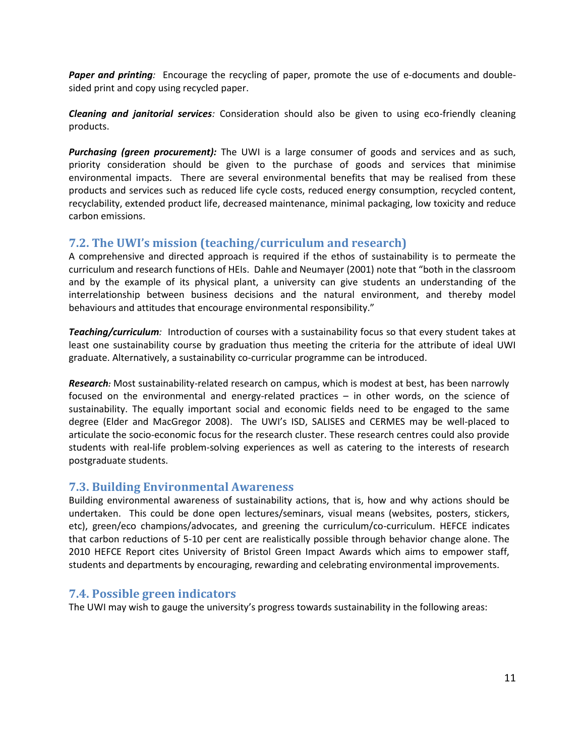*Paper and printing:* Encourage the recycling of paper, promote the use of e-documents and doublesided print and copy using recycled paper.

*Cleaning and janitorial services:* Consideration should also be given to using eco-friendly cleaning products.

**Purchasing (green procurement):** The UWI is a large consumer of goods and services and as such, priority consideration should be given to the purchase of goods and services that minimise environmental impacts. There are several environmental benefits that may be realised from these products and services such as reduced life cycle costs, reduced energy consumption, recycled content, recyclability, extended product life, decreased maintenance, minimal packaging, low toxicity and reduce carbon emissions.

## **7.2. The UWI's mission (teaching/curriculum and research)**

A comprehensive and directed approach is required if the ethos of sustainability is to permeate the curriculum and research functions of HEIs. Dahle and Neumayer (2001) note that "both in the classroom and by the example of its physical plant, a university can give students an understanding of the interrelationship between business decisions and the natural environment, and thereby model behaviours and attitudes that encourage environmental responsibility."

*Teaching/curriculum:* Introduction of courses with a sustainability focus so that every student takes at least one sustainability course by graduation thus meeting the criteria for the attribute of ideal UWI graduate. Alternatively, a sustainability co-curricular programme can be introduced.

*Research:* Most sustainability-related research on campus, which is modest at best, has been narrowly focused on the environmental and energy-related practices – in other words, on the science of sustainability. The equally important social and economic fields need to be engaged to the same degree (Elder and MacGregor 2008). The UWI's ISD, SALISES and CERMES may be well-placed to articulate the socio-economic focus for the research cluster. These research centres could also provide students with real-life problem-solving experiences as well as catering to the interests of research postgraduate students.

#### **7.3. Building Environmental Awareness**

Building environmental awareness of sustainability actions, that is, how and why actions should be undertaken. This could be done open lectures/seminars, visual means (websites, posters, stickers, etc), green/eco champions/advocates, and greening the curriculum/co-curriculum. HEFCE indicates that carbon reductions of 5-10 per cent are realistically possible through behavior change alone. The 2010 HEFCE Report cites University of Bristol Green Impact Awards which aims to empower staff, students and departments by encouraging, rewarding and celebrating environmental improvements.

#### **7.4. Possible green indicators**

The UWI may wish to gauge the university's progress towards sustainability in the following areas: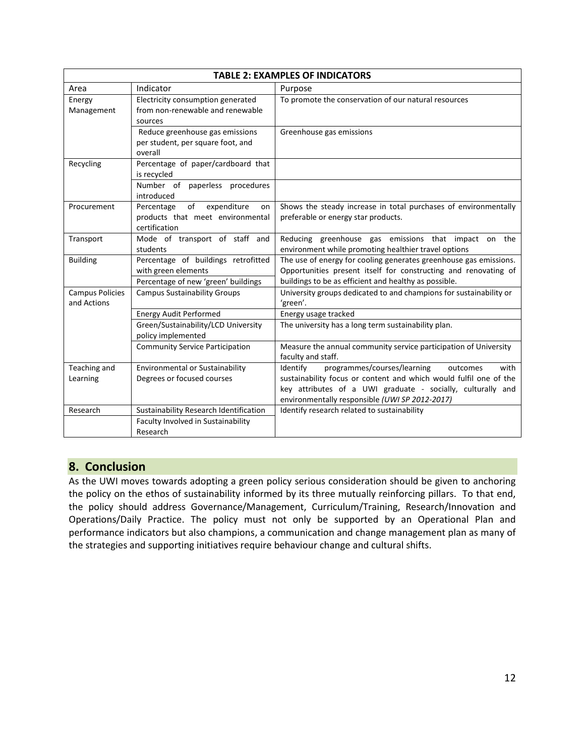| <b>TABLE 2: EXAMPLES OF INDICATORS</b> |                                                                                                   |                                                                                                                                                                                               |  |  |
|----------------------------------------|---------------------------------------------------------------------------------------------------|-----------------------------------------------------------------------------------------------------------------------------------------------------------------------------------------------|--|--|
| Area                                   | Indicator                                                                                         | Purpose                                                                                                                                                                                       |  |  |
| Energy<br>Management                   | Electricity consumption generated<br>from non-renewable and renewable<br>sources                  | To promote the conservation of our natural resources                                                                                                                                          |  |  |
|                                        | Reduce greenhouse gas emissions<br>per student, per square foot, and<br>overall                   | Greenhouse gas emissions                                                                                                                                                                      |  |  |
| Recycling                              | Percentage of paper/cardboard that<br>is recycled                                                 |                                                                                                                                                                                               |  |  |
|                                        | Number of paperless procedures<br>introduced                                                      |                                                                                                                                                                                               |  |  |
| Procurement                            | expenditure<br>Percentage<br>of<br>on<br>products that meet environmental<br>certification        | Shows the steady increase in total purchases of environmentally<br>preferable or energy star products.                                                                                        |  |  |
| Transport                              | Mode of transport of staff and<br>students                                                        | Reducing greenhouse gas emissions that impact on the<br>environment while promoting healthier travel options                                                                                  |  |  |
| <b>Building</b>                        | Percentage of buildings retrofitted<br>with green elements<br>Percentage of new 'green' buildings | The use of energy for cooling generates greenhouse gas emissions.<br>Opportunities present itself for constructing and renovating of<br>buildings to be as efficient and healthy as possible. |  |  |
| <b>Campus Policies</b><br>and Actions  | <b>Campus Sustainability Groups</b>                                                               | University groups dedicated to and champions for sustainability or<br>'green'.                                                                                                                |  |  |
|                                        | <b>Energy Audit Performed</b>                                                                     | Energy usage tracked                                                                                                                                                                          |  |  |
|                                        | Green/Sustainability/LCD University<br>policy implemented                                         | The university has a long term sustainability plan.                                                                                                                                           |  |  |
|                                        | <b>Community Service Participation</b>                                                            | Measure the annual community service participation of University<br>faculty and staff.                                                                                                        |  |  |
| Teaching and<br>Learning               | <b>Environmental or Sustainability</b><br>Degrees or focused courses                              | programmes/courses/learning<br>Identify<br>with<br>outcomes<br>sustainability focus or content and which would fulfil one of the                                                              |  |  |
|                                        |                                                                                                   | key attributes of a UWI graduate - socially, culturally and<br>environmentally responsible (UWI SP 2012-2017)                                                                                 |  |  |
| Research                               | Sustainability Research Identification                                                            | Identify research related to sustainability                                                                                                                                                   |  |  |
|                                        | Faculty Involved in Sustainability<br>Research                                                    |                                                                                                                                                                                               |  |  |

#### **8. Conclusion**

As the UWI moves towards adopting a green policy serious consideration should be given to anchoring the policy on the ethos of sustainability informed by its three mutually reinforcing pillars. To that end, the policy should address Governance/Management, Curriculum/Training, Research/Innovation and Operations/Daily Practice. The policy must not only be supported by an Operational Plan and performance indicators but also champions, a communication and change management plan as many of the strategies and supporting initiatives require behaviour change and cultural shifts.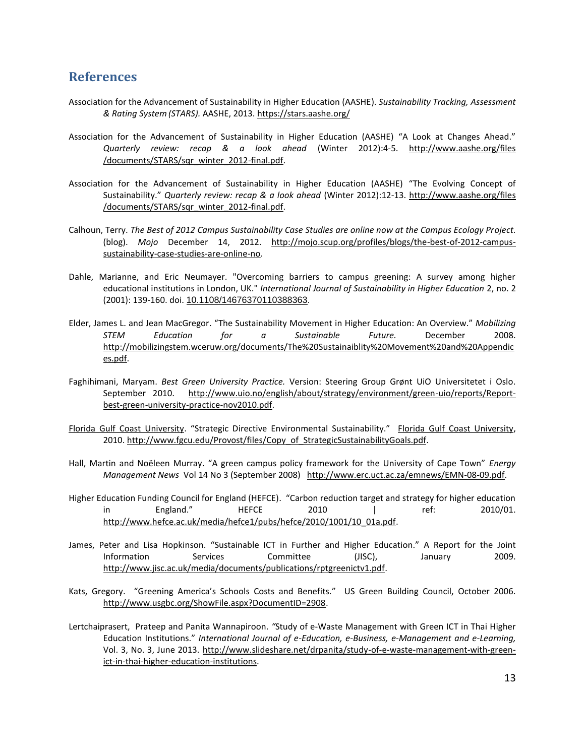#### **References**

- Association for the Advancement of Sustainability in Higher Education (AASHE). *Sustainability Tracking, Assessment & Rating System(STARS).* AASHE, 2013[. https://stars.aashe.org/](https://stars.aashe.org/)
- Association for the Advancement of Sustainability in Higher Education (AASHE) "A Look at Changes Ahead." *Quarterly review: recap & a look ahead* (Winter 2012):4-5. [http://www.aashe.org/files](http://www.aashe.org/files%20/documents/STARS/sqr_winter_2012-final.pdf)  [/documents/STARS/sqr\\_winter\\_2012-final.pdf.](http://www.aashe.org/files%20/documents/STARS/sqr_winter_2012-final.pdf)
- Association for the Advancement of Sustainability in Higher Education (AASHE) "The Evolving Concept of Sustainability." *Quarterly review: recap & a look ahead* (Winter 2012):12-13. [http://www.aashe.org/files](http://www.aashe.org/files%20/documents/STARS/sqr_winter_2012-final.pdf)  [/documents/STARS/sqr\\_winter\\_2012-final.pdf.](http://www.aashe.org/files%20/documents/STARS/sqr_winter_2012-final.pdf)
- Calhoun, Terry. *The Best of 2012 Campus Sustainability Case Studies are online now at the Campus Ecology Project.* (blog). *Mojo* December 14, 2012. [http://mojo.scup.org/profiles/blogs/the-best-of-2012-campus](http://mojo.scup.org/profiles/blogs/the-best-of-2012-campus-sustainability-case-studies-are-online-no)[sustainability-case-studies-are-online-no.](http://mojo.scup.org/profiles/blogs/the-best-of-2012-campus-sustainability-case-studies-are-online-no)
- Dahle, Marianne, and Eric Neumayer. "Overcoming barriers to campus greening: A survey among higher educational institutions in London, UK." *International Journal of Sustainability in Higher Education* 2, no. 2 (2001): 139-160. doi. [10.1108/14676370110388363.](http://dx.doi.org/10.1108/14676370110388363)
- Elder, James L. and Jean MacGregor. "The Sustainability Movement in Higher Education: An Overview." *Mobilizing STEM Education for a Sustainable Future.* December 2008. [http://mobilizingstem.wceruw.org/documents/The%20Sustainaiblity%20Movement%20and%20Appendic](http://mobilizingstem.wceruw.org/documents/The%20Sustainaiblity%20Movement%20and%20Appendices.pdf) [es.pdf.](http://mobilizingstem.wceruw.org/documents/The%20Sustainaiblity%20Movement%20and%20Appendices.pdf)
- Faghihimani, Maryam. *Best Green University Practice.* Version: Steering Group Grønt UiO Universitetet i Oslo. September 2010. [http://www.uio.no/english/about/strategy/environment/green-uio/reports/Report](http://www.uio.no/english/about/strategy/environment/green-uio/reports/Report-best-green-university-practice-nov2010.pdf)[best-green-university-practice-nov2010.pdf.](http://www.uio.no/english/about/strategy/environment/green-uio/reports/Report-best-green-university-practice-nov2010.pdf)
- [Florida Gulf Coast University](http://www.fgcu.edu/CEd/ProfessionalDevelopment.html). "Strategic Directive Environmental Sustainability." [Florida Gulf Coast University,](http://www.fgcu.edu/CEd/ProfessionalDevelopment.html) 2010. [http://www.fgcu.edu/Provost/files/Copy\\_of\\_StrategicSustainabilityGoals.pdf.](http://www.fgcu.edu/Provost/files/Copy_of_StrategicSustainabilityGoals.pdf)
- Hall, Martin and Noëleen Murray. "A green campus policy framework for the University of Cape Town" *Energy Management News* Vol 14 No 3 (September 2008) [http://www.erc.uct.ac.za/emnews/EMN-08-09.pdf.](http://www.erc.uct.ac.za/emnews/EMN-08-09.pdf)
- Higher Education Funding Council for England (HEFCE). "Carbon reduction target and strategy for higher education in England." HEFCE 2010 | ref: 2010/01. [http://www.hefce.ac.uk/media/hefce1/pubs/hefce/2010/1001/10\\_01a.pdf.](http://www.hefce.ac.uk/media/hefce1/pubs/hefce/2010/1001/10_01a.pdf)
- James, Peter and Lisa Hopkinson. "Sustainable ICT in Further and Higher Education." A Report for the Joint Information Services Committee (JISC), January 2009. [http://www.jisc.ac.uk/media/documents/publications/rptgreenictv1.pdf.](http://www.jisc.ac.uk/media/documents/publications/rptgreenictv1.pdf)
- Kats, Gregory. "Greening America's Schools Costs and Benefits." US Green Building Council, October 2006. [http://www.usgbc.org/ShowFile.aspx?DocumentID=2908.](http://www.usgbc.org/ShowFile.aspx?DocumentID=2908)
- Lertchaiprasert, Prateep and Panita Wannapiroon. *"*Study of e-Waste Management with Green ICT in Thai Higher Education Institutions." *International Journal of e-Education, e-Business, e-Management and e-Learning,*  Vol. 3, No. 3, June 2013. [http://www.slideshare.net/drpanita/study-of-e-waste-management-with-green](http://www.slideshare.net/drpanita/study-of-e-waste-management-with-green-ict-in-thai-higher-education-institutions)[ict-in-thai-higher-education-institutions.](http://www.slideshare.net/drpanita/study-of-e-waste-management-with-green-ict-in-thai-higher-education-institutions)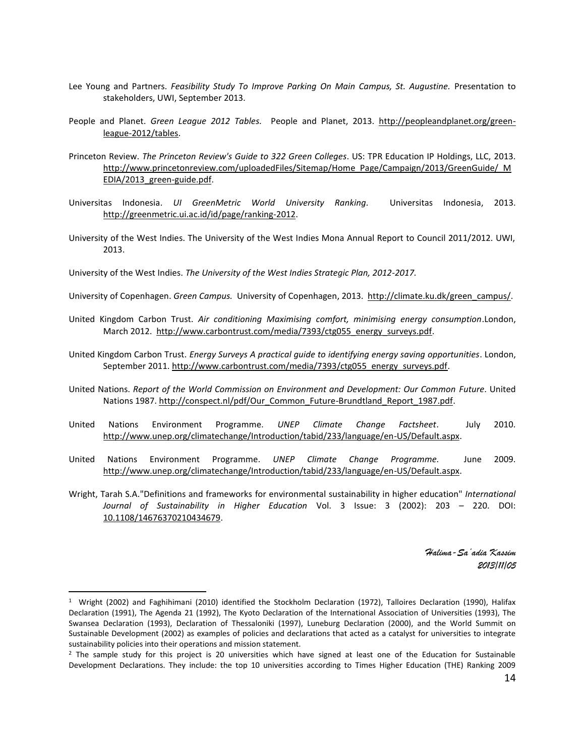- Lee Young and Partners. *Feasibility Study To Improve Parking On Main Campus, St. Augustine.* Presentation to stakeholders, UWI, September 2013.
- People and Planet. *Green League 2012 Tables.* People and Planet, 2013. [http://peopleandplanet.org/green](http://peopleandplanet.org/green-league-2012/tables)[league-2012/tables.](http://peopleandplanet.org/green-league-2012/tables)
- Princeton Review. *The Princeton Review's Guide to 322 Green Colleges*. US: TPR Education IP Holdings, LLC, 2013. [http://www.princetonreview.com/uploadedFiles/Sitemap/Home\\_Page/Campaign/2013/GreenGuide/\\_M](http://www.princetonreview.com/uploadedFiles/Sitemap/Home_Page/Campaign/2013/GreenGuide/_MEDIA/2013_green-guide.pdf) [EDIA/2013\\_green-guide.pdf.](http://www.princetonreview.com/uploadedFiles/Sitemap/Home_Page/Campaign/2013/GreenGuide/_MEDIA/2013_green-guide.pdf)
- Universitas Indonesia. *UI GreenMetric World University Ranking.* Universitas Indonesia, 2013. [http://greenmetric.ui.ac.id/id/page/ranking-2012.](http://greenmetric.ui.ac.id/id/page/ranking-2012)
- University of the West Indies. The University of the West Indies Mona Annual Report to Council 2011/2012. UWI, 2013.
- University of the West Indies. *The University of the West Indies Strategic Plan, 2012-2017.*
- University of Copenhagen. *Green Campus.* University of Copenhagen, 2013. [http://climate.ku.dk/green\\_campus/.](http://climate.ku.dk/green_campus/)
- United Kingdom Carbon Trust. *Air conditioning Maximising comfort, minimising energy consumption*.London, March 2012. [http://www.carbontrust.com/media/7393/ctg055\\_energy\\_surveys.pdf.](http://www.carbontrust.com/media/7393/ctg055_energy_surveys.pdf)
- United Kingdom Carbon Trust. *Energy Surveys A practical guide to identifying energy saving opportunities*. London, September 2011. [http://www.carbontrust.com/media/7393/ctg055\\_energy\\_surveys.pdf.](http://www.carbontrust.com/media/7393/ctg055_energy_surveys.pdf)
- United Nations. *Report of the World Commission on Environment and Development: Our Common Future*. United Nations 1987. [http://conspect.nl/pdf/Our\\_Common\\_Future-Brundtland\\_Report\\_1987.pdf.](http://conspect.nl/pdf/Our_Common_Future-Brundtland_Report_1987.pdf)
- United Nations Environment Programme. *UNEP Climate Change Factsheet*. July 2010. [http://www.unep.org/climatechange/Introduction/tabid/233/language/en-US/Default.aspx.](http://www.unep.org/climatechange/Introduction/tabid/233/language/en-US/Default.aspx)
- United Nations Environment Programme. *UNEP Climate Change Programme.* June 2009. [http://www.unep.org/climatechange/Introduction/tabid/233/language/en-US/Default.aspx.](http://www.unep.org/climatechange/Introduction/tabid/233/language/en-US/Default.aspx)
- Wright, Tarah S.A."Definitions and frameworks for environmental sustainability in higher education" *International Journal of Sustainability in Higher Education* Vol. 3 Issue: 3 (2002): 203 – 220. DOI: [10.1108/14676370210434679.](http://dx.doi.org/10.1108/14676370210434679)

*Halima-Sa'adia Kassim 2013/11/05*

 $\overline{\phantom{a}}$ 

<sup>1</sup> Wright (2002) and Faghihimani (2010) identified the Stockholm Declaration (1972), Talloires Declaration (1990), Halifax Declaration (1991), The Agenda 21 (1992), The Kyoto Declaration of the International Association of Universities (1993), The Swansea Declaration (1993), Declaration of Thessaloniki (1997), Luneburg Declaration (2000), and the World Summit on Sustainable Development (2002) as examples of policies and declarations that acted as a catalyst for universities to integrate sustainability policies into their operations and mission statement.

<sup>&</sup>lt;sup>2</sup> The sample study for this project is 20 universities which have signed at least one of the Education for Sustainable Development Declarations. They include: the top 10 universities according to Times Higher Education (THE) Ranking 2009